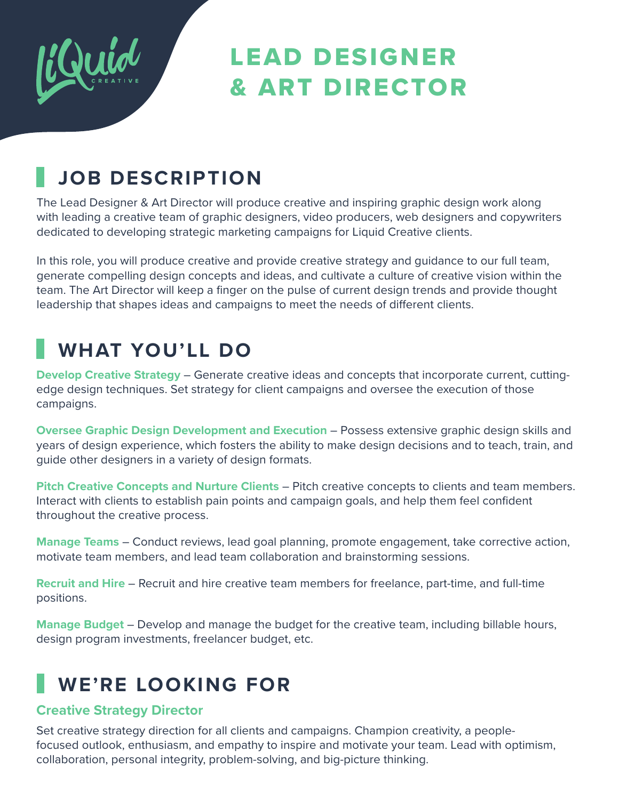

# LEAD DESIGNER & ART DIRECTOR

### **JOB DESCRIPTION**

The Lead Designer & Art Director will produce creative and inspiring graphic design work along with leading a creative team of graphic designers, video producers, web designers and copywriters dedicated to developing strategic marketing campaigns for Liquid Creative clients.

In this role, you will produce creative and provide creative strategy and guidance to our full team, generate compelling design concepts and ideas, and cultivate a culture of creative vision within the team. The Art Director will keep a finger on the pulse of current design trends and provide thought leadership that shapes ideas and campaigns to meet the needs of different clients.

## **WHAT YOU'LL DO**

**Develop Creative Strategy** – Generate creative ideas and concepts that incorporate current, cuttingedge design techniques. Set strategy for client campaigns and oversee the execution of those campaigns.

**Oversee Graphic Design Development and Execution** – Possess extensive graphic design skills and years of design experience, which fosters the ability to make design decisions and to teach, train, and guide other designers in a variety of design formats.

**Pitch Creative Concepts and Nurture Clients** – Pitch creative concepts to clients and team members. Interact with clients to establish pain points and campaign goals, and help them feel confident throughout the creative process.

**Manage Teams** – Conduct reviews, lead goal planning, promote engagement, take corrective action, motivate team members, and lead team collaboration and brainstorming sessions.

**Recruit and Hire** – Recruit and hire creative team members for freelance, part-time, and full-time positions.

**Manage Budget** – Develop and manage the budget for the creative team, including billable hours, design program investments, freelancer budget, etc.

# **WE'RE LOOKING FOR**

#### **Creative Strategy Director**

Set creative strategy direction for all clients and campaigns. Champion creativity, a peoplefocused outlook, enthusiasm, and empathy to inspire and motivate your team. Lead with optimism, collaboration, personal integrity, problem-solving, and big-picture thinking.